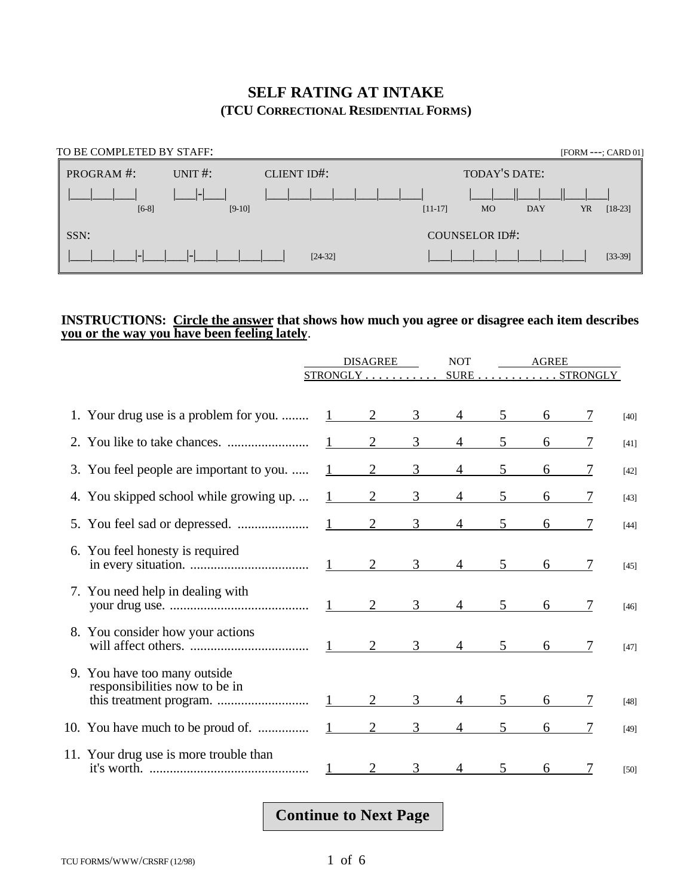#### **SELF RATING AT INTAKE (TCU CORRECTIONAL RESIDENTIAL FORMS)**

| TO BE COMPLETED BY STAFF: |            |             |           |                       |            | [FORM ---; CARD 01] |
|---------------------------|------------|-------------|-----------|-----------------------|------------|---------------------|
| PROGRAM #:                | UNIT $#$ : | CLIENT ID#: |           | TODAY'S DATE:         |            |                     |
|                           |            |             |           |                       |            |                     |
| $[6-8]$                   | $[9-10]$   |             | $[11-17]$ | <b>MO</b>             | <b>DAY</b> | YR<br>$[18-23]$     |
| SSN:                      |            |             |           | <b>COUNSELOR ID#:</b> |            |                     |
|                           |            | $[24-32]$   |           |                       |            | $[33-39]$           |

#### **INSTRUCTIONS: Circle the answer that shows how much you agree or disagree each item describes you or the way you have been feeling lately**.

|                                                               | <b>DISAGREE</b>        |                       |                     | <b>NOT</b>      |                | AGREE         |   |        |
|---------------------------------------------------------------|------------------------|-----------------------|---------------------|-----------------|----------------|---------------|---|--------|
|                                                               |                        | STRONGLY              |                     |                 |                | SURE STRONGLY |   |        |
| 1. Your drug use is a problem for you.                        |                        | $1 \qquad 2 \qquad 3$ |                     | $\overline{4}$  | 5 <sup>5</sup> | 6             | 7 | $[40]$ |
|                                                               |                        | $1 \qquad 2$          | $\overline{3}$      | $4\degree$      | 5 <sup>5</sup> | 6             |   | $[41]$ |
| 3. You feel people are important to you.                      | $1 \qquad \qquad$      | $\overline{2}$        | 3 <sup>7</sup>      | $\overline{4}$  | 5              | 6             |   | $[42]$ |
| 4. You skipped school while growing up.                       | $1 \quad \blacksquare$ | 2                     | 3                   | $\overline{4}$  | 5              | 6             |   | $[43]$ |
|                                                               |                        | $1 \t2 \t3$           |                     | $4\overline{ }$ |                |               |   | $[44]$ |
| 6. You feel honesty is required                               |                        |                       | $\overline{3}$      | $\overline{4}$  | 5 <sup>5</sup> | 6             |   | $[45]$ |
| 7. You need help in dealing with                              |                        |                       | 3 <sup>7</sup>      |                 | 5 <sup>1</sup> | 6             |   | $[46]$ |
| 8. You consider how your actions                              |                        |                       |                     |                 |                |               |   | $[47]$ |
| 9. You have too many outside<br>responsibilities now to be in | $1 \quad \blacksquare$ | 2                     | 3                   | $4\overline{ }$ | 5              | 6             |   | $[48]$ |
|                                                               |                        |                       | $2 \qquad \qquad 3$ |                 | $4 \quad 5$    | 6             |   | $[49]$ |
| 11. Your drug use is more trouble than                        |                        |                       | 3                   |                 | 5              | 6             |   | $[50]$ |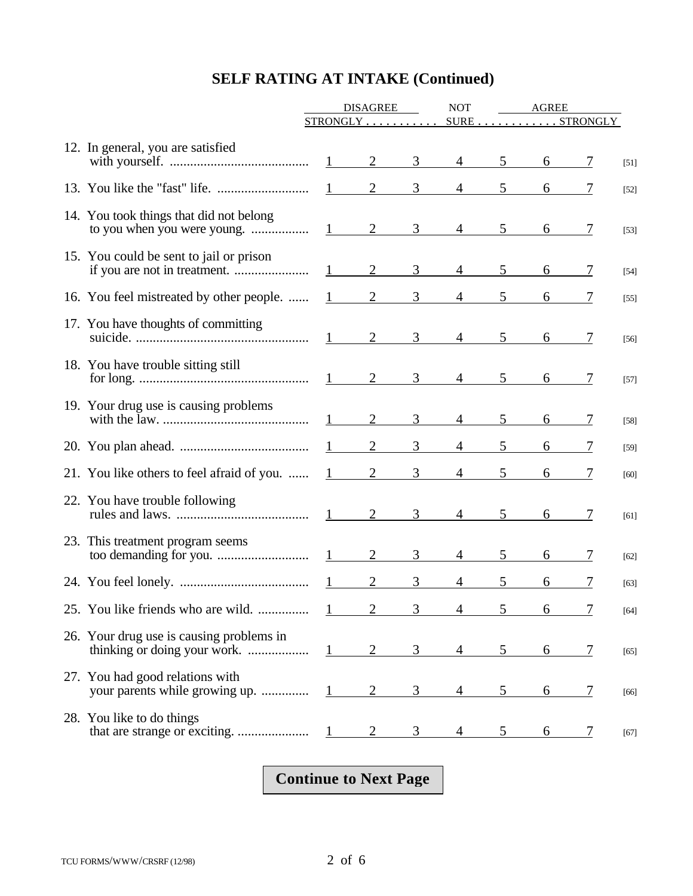|                                                                   | <b>DISAGREE</b>        |                |                | <b>NOT</b>            | AGREE          |   |               |        |
|-------------------------------------------------------------------|------------------------|----------------|----------------|-----------------------|----------------|---|---------------|--------|
|                                                                   |                        |                |                | STRONGLY SURESTRONGLY |                |   |               |        |
| 12. In general, you are satisfied                                 |                        | $1 \quad 2$    | $\mathfrak{Z}$ | $\overline{4}$        | 5 <sup>5</sup> | 6 |               | $[51]$ |
|                                                                   |                        | $1 \qquad 2$   | $\mathfrak{Z}$ | $\overline{4}$        | 5 <sup>5</sup> | 6 |               | $[52]$ |
| 14. You took things that did not belong                           |                        | $\frac{1}{2}$  | 3 <sup>7</sup> | $4\overline{ }$       | 5 <sup>5</sup> | 6 | 7             | $[53]$ |
| 15. You could be sent to jail or prison                           | $1 \qquad \qquad$      | 2              | 3 <sup>7</sup> | $4\overline{ }$       | 5 <sup>1</sup> | 6 | 7             | $[54]$ |
| 16. You feel mistreated by other people.                          | $1 \qquad \qquad$      | $\overline{2}$ | $\mathfrak{Z}$ | 4                     | 5              | 6 |               | $[55]$ |
| 17. You have thoughts of committing                               |                        |                | 3 <sup>7</sup> | $4\overline{ }$       | 5 <sup>5</sup> | 6 | 7             | $[56]$ |
| 18. You have trouble sitting still                                |                        |                | 3 <sup>7</sup> | $\overline{4}$        | 5 <sup>5</sup> | 6 | $\frac{1}{2}$ | $[57]$ |
| 19. Your drug use is causing problems                             | $1$ and $\sim$         | 2              | $\mathfrak{Z}$ | $\overline{4}$        | $5^{\circ}$    | 6 | 7             | $[58]$ |
|                                                                   | $1 \quad \blacksquare$ | $\overline{2}$ | 3              | $\overline{4}$        | 5              | 6 |               | $[59]$ |
| 21. You like others to feel afraid of you.                        | $1 \quad \blacksquare$ | $\overline{2}$ | $\mathfrak{Z}$ | $\overline{4}$        | 5              | 6 |               | $[60]$ |
| 22. You have trouble following                                    |                        |                | 3 <sup>7</sup> | $4\overline{ }$       | 5 <sup>5</sup> | 6 | 7             | $[61]$ |
| 23. This treatment program seems                                  |                        | 2              | $\mathfrak{Z}$ | $\overline{4}$        | 5              | 6 | 7             | $[62]$ |
|                                                                   |                        | 2              | 3              | 4                     | 5              | 6 |               | $[63]$ |
| 25. You like friends who are wild. $1$                            |                        |                |                |                       |                | b |               | $[64]$ |
| 26. Your drug use is causing problems in                          | $1 - 1$                | $\overline{2}$ | 3              |                       | 5              | 6 | 7             | $[65]$ |
| 27. You had good relations with<br>your parents while growing up. |                        |                | 3              |                       | 5              | 6 | 7             | $[66]$ |
| 28. You like to do things                                         |                        |                |                |                       |                | 6 | $\frac{1}{2}$ | $[67]$ |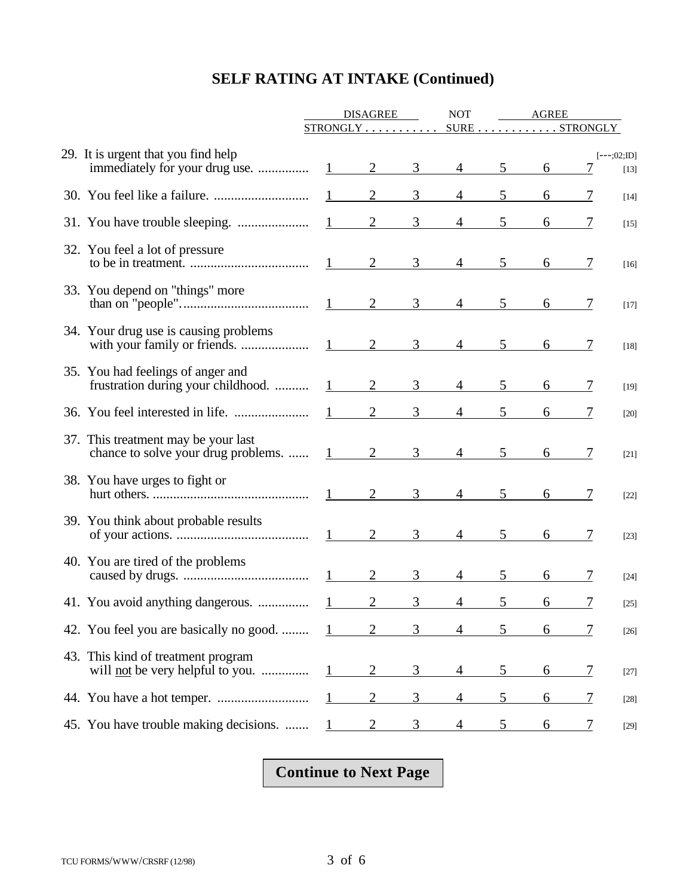|                                                                               | <b>DISAGREE</b>        |                |                | <b>NOT</b>     | <b>AGREE</b> |                                                     |                |                        |
|-------------------------------------------------------------------------------|------------------------|----------------|----------------|----------------|--------------|-----------------------------------------------------|----------------|------------------------|
|                                                                               | $STRONGLY$             |                |                |                |              | $\texttt{SURE} \dots \dots \dots \texttt{STRONGLY}$ |                |                        |
| 29. It is urgent that you find help<br>immediately for your drug use.         | $1 \qquad \qquad$      | $\overline{2}$ | $\overline{3}$ | $\overline{4}$ | 5            | 6                                                   |                | $[--;02;JD]$<br>$[13]$ |
|                                                                               |                        | $\overline{2}$ | 3              | $\overline{4}$ | 5            | 6                                                   |                | $[14]$                 |
|                                                                               | $\mathbf{1}$           | 2              | 3              | $\overline{4}$ | 5            | 6                                                   |                | $[15]$                 |
| 32. You feel a lot of pressure                                                | $1 -$                  | $\overline{2}$ | 3              | $\overline{4}$ | 5            | 6                                                   |                | $[16]$                 |
| 33. You depend on "things" more                                               | 1                      | 2              | $\overline{3}$ | $\overline{4}$ | 5            | 6                                                   |                | $[17]$                 |
| 34. Your drug use is causing problems                                         | 1                      | $\overline{2}$ | $\overline{3}$ | $\overline{4}$ | 5            | 6                                                   |                | $[18]$                 |
| 35. You had feelings of anger and<br>frustration during your childhood.       |                        | $\overline{2}$ | $\overline{3}$ | $\overline{4}$ | 5            | 6                                                   |                | $[19]$                 |
|                                                                               | $1 \quad \blacksquare$ | $\overline{2}$ | 3              | 4              |              |                                                     |                | [20]                   |
| 37. This treatment may be your last<br>chance to solve your drug problems.    | 1                      | $\overline{2}$ | $\overline{3}$ | $\overline{4}$ | 5            | 6                                                   |                | $[21]$                 |
| 38. You have urges to fight or                                                |                        | $\overline{2}$ | 3              | $\overline{4}$ |              | 6                                                   |                | $[22]$                 |
| 39. You think about probable results                                          | $1 \quad \blacksquare$ | $\overline{2}$ | 3              | 4              | 5            | 6                                                   |                | $[23]$                 |
| 40. You are tired of the problems                                             |                        | $\overline{2}$ | 3              | 4              | 5            | 6                                                   |                | $[24]$                 |
|                                                                               |                        | $\overline{2}$ | 3              | 4              | 5            | 6                                                   |                | $[25]$                 |
| 42. You feel you are basically no good.                                       | $\mathbf{1}$           | 2              | 3              | 4              | 5.           | 6                                                   | 7              | $[26]$                 |
| 43. This kind of treatment program<br>will <u>not</u> be very helpful to you. | 1                      | 2              | 3              | 4              | 5            | 6                                                   | <u>7</u>       | $[27]$                 |
|                                                                               |                        | $\overline{2}$ | 3              | 4              | 5            | 6                                                   | $\overline{1}$ | $[28]$                 |
| 45. You have trouble making decisions.                                        | 1                      | $\overline{2}$ | 3              | 4              | 5            | 6                                                   |                | [29]                   |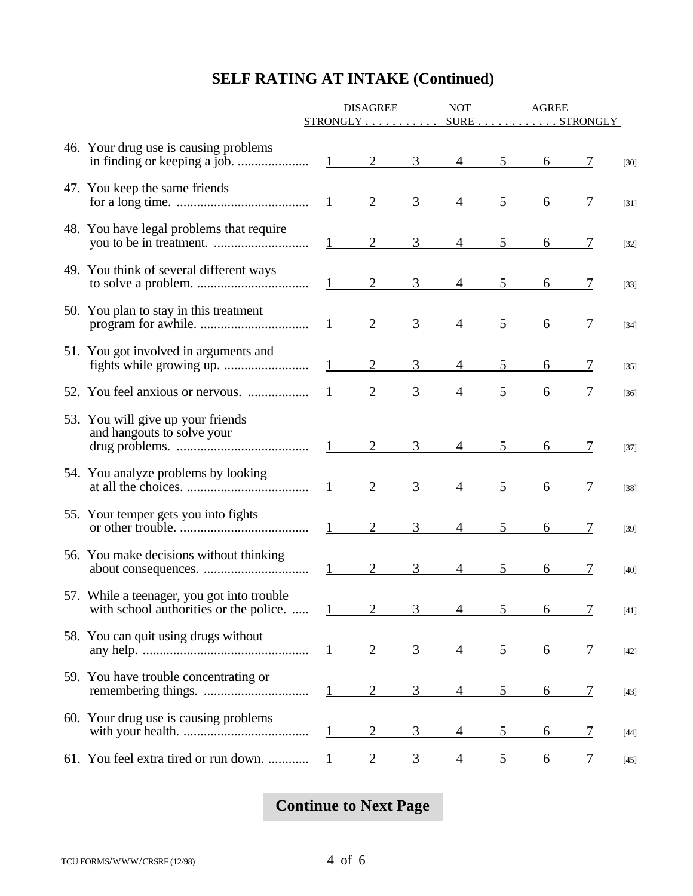|                                                                                      | <b>DISAGREE</b> |                        |                | <b>NOT</b>     | AGREE                        |                |            |   |        |
|--------------------------------------------------------------------------------------|-----------------|------------------------|----------------|----------------|------------------------------|----------------|------------|---|--------|
|                                                                                      |                 |                        |                |                | $STRONGLY$ SURESTRONGLY      |                |            |   |        |
| 46. Your drug use is causing problems                                                |                 |                        |                | 3 <sup>7</sup> |                              | $4\quad 5$     | 6          |   | $[30]$ |
| 47. You keep the same friends                                                        |                 |                        | $1 \qquad 2$   | $\mathfrak{Z}$ | $4\overline{ }$              | 5 <sup>5</sup> | 6          | 7 | $[31]$ |
| 48. You have legal problems that require                                             |                 |                        |                | 3              | $4\overline{ }$              | 5 <sup>5</sup> | 6          | 7 | $[32]$ |
| 49. You think of several different ways                                              |                 |                        |                | $\mathfrak{Z}$ | $\overline{4}$               | 5 <sup>5</sup> | 6          | 7 | $[33]$ |
| 50. You plan to stay in this treatment                                               |                 |                        |                | $\mathfrak{Z}$ | $4 -$                        | 5 <sup>5</sup> | 6          |   | $[34]$ |
| 51. You got involved in arguments and                                                |                 | $1 \qquad \qquad$      | 2              | 3              | $\overline{4}$               | 5 <sup>5</sup> | 6          |   | $[35]$ |
|                                                                                      |                 | 1                      | 2              | 3              | 4                            |                | 6          |   | $[36]$ |
| 53. You will give up your friends<br>and hangouts to solve your                      |                 |                        |                | 3 <sup>7</sup> | $\overline{4}$               | 5 <sup>5</sup> | $6\degree$ |   | [37]   |
| 54. You analyze problems by looking                                                  |                 |                        | $1 \qquad 2$   | 3              | $\overline{4}$               | 5 <sup>5</sup> | 6          | 7 | $[38]$ |
| 55. Your temper gets you into fights                                                 |                 | 1                      | 2              | 3              | $\overline{4}$               | 5 <sup>5</sup> | 6          | 7 | $[39]$ |
| 56. You make decisions without thinking                                              |                 | $1 \quad \blacksquare$ | 2              | 3              | $\overline{4}$               | 5              | 6          | 7 | $[40]$ |
| 57. While a teenager, you got into trouble<br>with school authorities or the police. |                 |                        |                |                | $1 \t 2 \t 3 \t 4 \t 5 \t 6$ |                |            |   | $[41]$ |
| 58. You can quit using drugs without                                                 |                 |                        |                | 3              | 4                            | 5              | 6          | 7 | $[42]$ |
| 59. You have trouble concentrating or                                                |                 | $1 \quad \blacksquare$ | 2              | 3              |                              | 5              | 6          | 7 | [43]   |
| 60. Your drug use is causing problems                                                |                 |                        | $\overline{2}$ | 3              |                              | 5              | 6          | 7 | $[44]$ |
| 61. You feel extra tired or run down.                                                |                 |                        | 2              | 3              | 4                            | 5              | 6          |   | [45]   |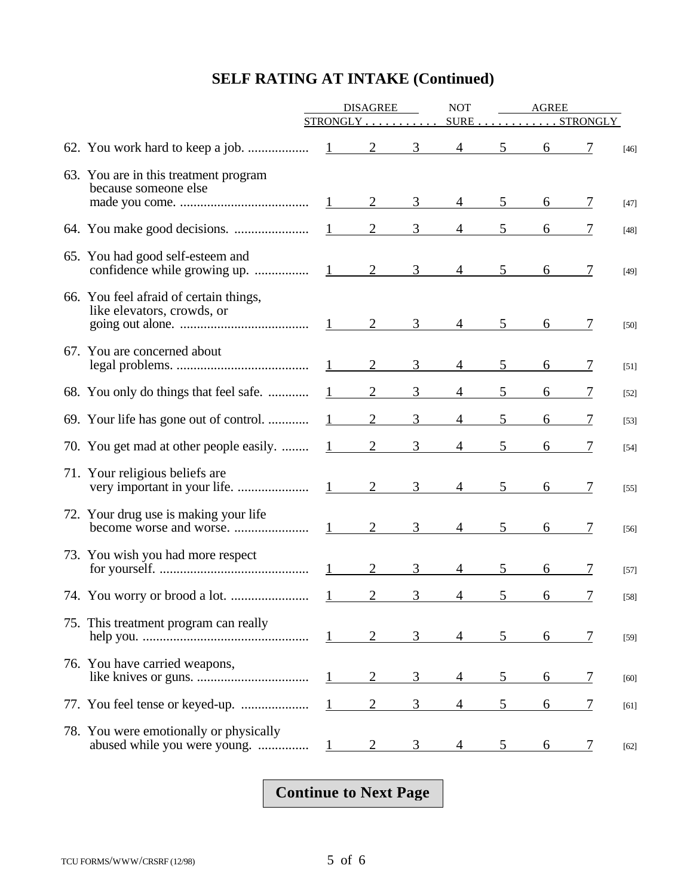|                                                                        | <b>DISAGREE</b>        |                |                | <b>NOT</b>     |             | <b>AGREE</b> |                   |        |
|------------------------------------------------------------------------|------------------------|----------------|----------------|----------------|-------------|--------------|-------------------|--------|
|                                                                        | $STRONGLY$             |                |                |                |             |              | $SURE$ $STRONGLY$ |        |
|                                                                        |                        | 2              | $\mathfrak{Z}$ | $\overline{4}$ | 5           | 6            | 7                 | $[46]$ |
| 63. You are in this treatment program<br>because someone else          |                        | 2              | 3              | $\overline{4}$ |             |              |                   |        |
|                                                                        |                        |                |                |                |             |              |                   | $[47]$ |
|                                                                        |                        | $\overline{2}$ | 3              | 4              | 5           | 6            |                   | $[48]$ |
| 65. You had good self-esteem and                                       | 1                      | $\overline{2}$ | 3              |                | 5           | 6            |                   | $[49]$ |
| 66. You feel afraid of certain things,<br>like elevators, crowds, or   | 1                      | 2              | 3              | $\overline{4}$ | $5^{\circ}$ | 6            |                   | $[50]$ |
| 67. You are concerned about                                            |                        | $\overline{2}$ | 3              | $\overline{4}$ | 5           | 6            |                   | $[51]$ |
| 68. You only do things that feel safe.                                 |                        | $\overline{2}$ | 3              | 4              | 5           | 6            |                   | $[52]$ |
| 69. Your life has gone out of control.                                 |                        | $\overline{2}$ | 3              | 4              | 5           | 6            |                   | $[53]$ |
| 70. You get mad at other people easily.                                | $\mathbf{1}$           | 2              | 3              | 4              | 5           | 6            |                   | $[54]$ |
| 71. Your religious beliefs are                                         | $1 \quad \blacksquare$ | $\overline{2}$ | 3              | $\overline{4}$ | 5           | 6            |                   | $[55]$ |
| 72. Your drug use is making your life                                  | $1 \quad \blacksquare$ | $\overline{2}$ | 3              |                | 5           | 6            |                   | $[56]$ |
| 73. You wish you had more respect                                      |                        | $\overline{2}$ | 3              | 4              | 5           | 6            |                   | $[57]$ |
|                                                                        |                        | $\overline{2}$ | 3              | 4              | 5           | 6            |                   | $[58]$ |
| 75. This treatment program can really                                  | $\mathbf{L}$           | 2              | 3              | 4              | 5           | 6            | 7                 | $[59]$ |
| 76. You have carried weapons,                                          |                        | $\overline{2}$ | 3              | 4              | 5           | 6            | 7                 | $[60]$ |
|                                                                        |                        | $\overline{2}$ | 3              | 4              | 5           | 6            | 7                 | $[61]$ |
| 78. You were emotionally or physically<br>abused while you were young. |                        | 2              | 3              |                | 5           | 6            | 7                 | $[62]$ |